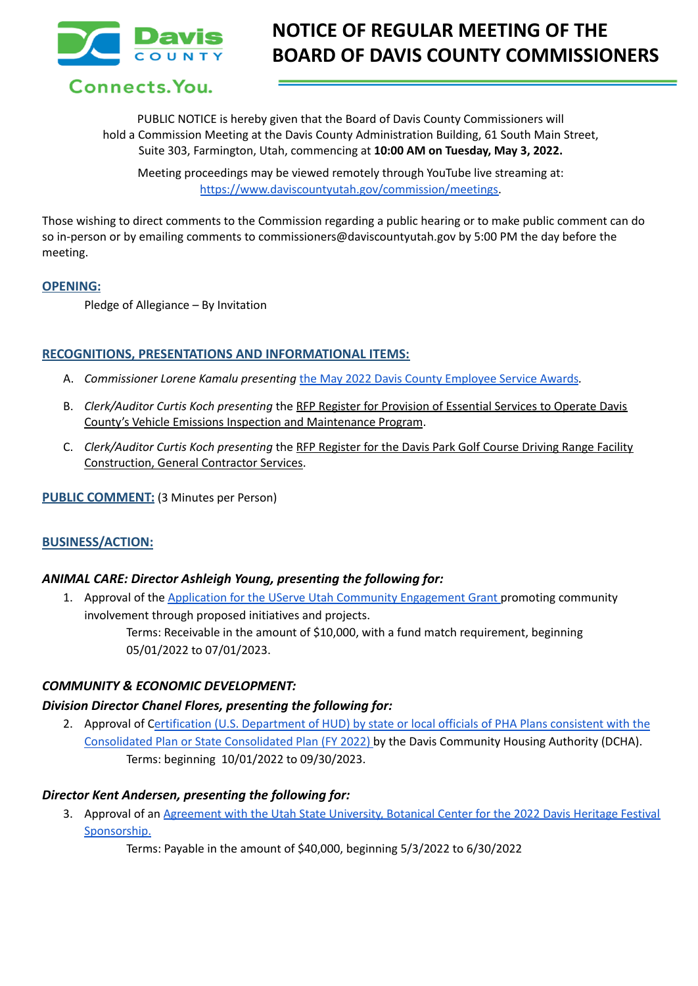

Connects. You.

PUBLIC NOTICE is hereby given that the Board of Davis County Commissioners will hold a Commission Meeting at the Davis County Administration Building, 61 South Main Street, Suite 303, Farmington, Utah, commencing at **10:00 AM on Tuesday, May 3, 2022.**

Meeting proceedings may be viewed remotely through YouTube live streaming at: [https://www.daviscountyutah.gov/commission/meetings.](https://www.daviscountyutah.gov/commission/meetings)

Those wishing to direct comments to the Commission regarding a public hearing or to make public comment can do so in-person or by emailing comments to commissioners@daviscountyutah.gov by 5:00 PM the day before the meeting.

### **OPENING:**

Pledge of Allegiance – By Invitation

## **RECOGNITIONS, PRESENTATIONS AND INFORMATIONAL ITEMS:**

- A. *Commissioner Lorene Kamalu presenting* the May 2022 Davis County [Employee](https://drive.google.com/file/d/1gbbzDH16AG1f4G-wlodAS1sKwjvn7U9y/view?usp=sharing) Service Awards*.*
- B. *Clerk/Auditor Curtis Koch presenting* the RFP Register for Provision of Essential Services to Operate Davis County's Vehicle Emissions Inspection and Maintenance Program.
- C. *Clerk/Auditor Curtis Koch presenting* the RFP Register for the Davis Park Golf Course Driving Range Facility Construction, General Contractor Services.

**PUBLIC COMMENT:** (3 Minutes per Person)

# **BUSINESS/ACTION:**

## *ANIMAL CARE: Director Ashleigh Young, presenting the following for:*

1. Approval of the Application for the UServe Utah Community [Engagement](https://drive.google.com/file/d/1rXf2TDH0zcsWUGAPAsA-owd6QhX0vL7p/view?usp=sharing) Grant promoting community involvement through proposed initiatives and projects.

Terms: Receivable in the amount of \$10,000, with a fund match requirement, beginning 05/01/2022 to 07/01/2023.

## *COMMUNITY & ECONOMIC DEVELOPMENT:*

## *Division Director Chanel Flores, presenting the following for:*

2. Approval of Certification (U.S. [Department](https://drive.google.com/file/d/1Gg_xwgE90YIsaKdeww3cgXSgui9jvrcu/view?usp=sharing) of HUD) by state or local officials of PHA Plans consistent with the Consolidated Plan or State [Consolidated](https://drive.google.com/file/d/1Gg_xwgE90YIsaKdeww3cgXSgui9jvrcu/view?usp=sharing) Plan (FY 2022) by the Davis Community Housing Authority (DCHA). Terms: beginning 10/01/2022 to 09/30/2023.

## *Director Kent Andersen, presenting the following for:*

3. Approval of an [Agreement](https://drive.google.com/file/d/1G02ExYUKZgsP_kSNssRzvAHh36e1Si6z/view?usp=sharing) with the Utah State University, Botanical Center for the 2022 Davis Heritage Festival [Sponsorship.](https://drive.google.com/file/d/1G02ExYUKZgsP_kSNssRzvAHh36e1Si6z/view?usp=sharing)

Terms: Payable in the amount of \$40,000, beginning 5/3/2022 to 6/30/2022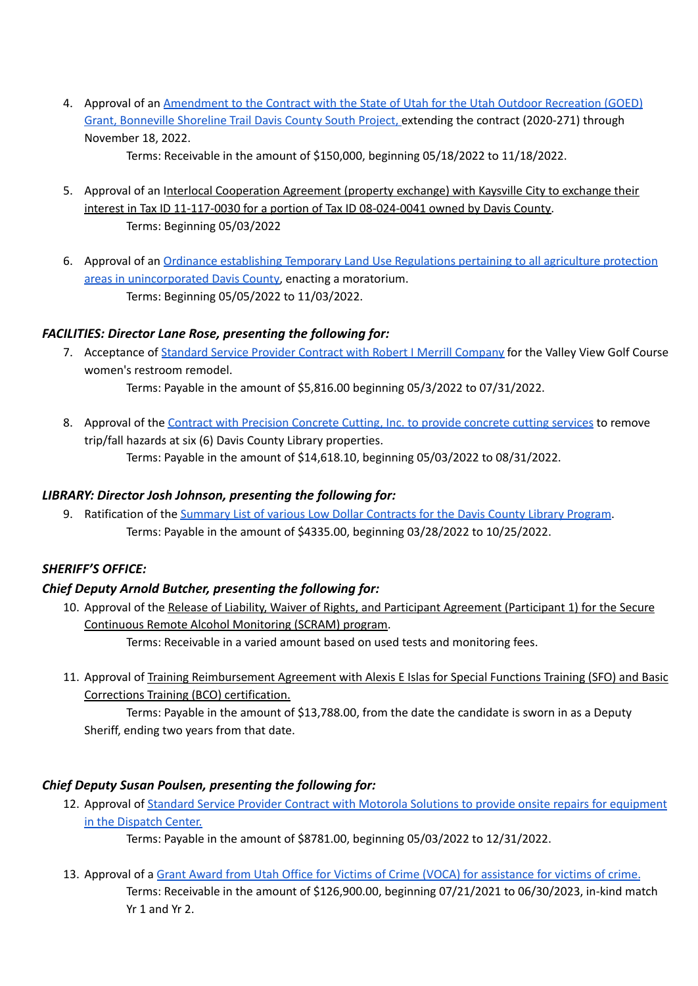4. Approval of an [Amendment](https://drive.google.com/file/d/1quatgspnAZXrI8RWJ3ZQAhCK22CDgXwR/view?usp=sharing) to the Contract with the State of Utah for the Utah Outdoor Recreation (GOED) Grant, [Bonneville](https://drive.google.com/file/d/1quatgspnAZXrI8RWJ3ZQAhCK22CDgXwR/view?usp=sharing) Shoreline Trail Davis County South Project, extending the contract (2020-271) through November 18, 2022.

Terms: Receivable in the amount of \$150,000, beginning 05/18/2022 to 11/18/2022.

- 5. Approval of an Interlocal Cooperation Agreement (property exchange) with Kaysville City to exchange their interest in Tax ID 11-117-0030 for a portion of Tax ID 08-024-0041 owned by Davis County. Terms: Beginning 05/03/2022
- 6. Approval of an Ordinance [establishing](https://docs.google.com/document/d/1ELN0rxQTtAEo4xO2DjoJMTZUvrqu6AQR/edit?usp=sharing&ouid=109614430660042516529&rtpof=true&sd=true) Temporary Land Use Regulations pertaining to all agriculture protection areas in [unincorporated](https://docs.google.com/document/d/1ELN0rxQTtAEo4xO2DjoJMTZUvrqu6AQR/edit?usp=sharing&ouid=109614430660042516529&rtpof=true&sd=true) Davis County, enacting a moratorium. Terms: Beginning 05/05/2022 to 11/03/2022.

# *FACILITIES: Director Lane Rose, presenting the following for:*

7. Acceptance of Standard Service Provider Contract with Robert I Merrill [Company](https://drive.google.com/file/d/1CFmMWKVy8TjWxymjRPuN0_Ut1Ts2OguT/view?usp=sharing) for the Valley View Golf Course women's restroom remodel.

Terms: Payable in the amount of \$5,816.00 beginning 05/3/2022 to 07/31/2022.

8. Approval of the Contract with [Precision](https://drive.google.com/file/d/16Sio_uA26-Bxo67uaEL3wA8lgU-Eowzp/view?usp=sharing) Concrete Cutting, Inc. to provide concrete cutting services to remove trip/fall hazards at six (6) Davis County Library properties. Terms: Payable in the amount of \$14,618.10, beginning 05/03/2022 to 08/31/2022.

# *LIBRARY: Director Josh Johnson, presenting the following for:*

9. Ratification of the Summary List of various Low Dollar [Contracts](https://drive.google.com/file/d/1S80n3yEGtSQN_hTVD3Pj5XP-oROMZqeo/view?usp=sharing) for the Davis County Library Program. Terms: Payable in the amount of \$4335.00, beginning 03/28/2022 to 10/25/2022.

# *SHERIFF'S OFFICE:*

# *Chief Deputy Arnold Butcher, presenting the following for:*

10. Approval of the Release of Liability, Waiver of Rights, and Participant Agreement (Participant 1) for the Secure Continuous Remote Alcohol Monitoring (SCRAM) program.

Terms: Receivable in a varied amount based on used tests and monitoring fees.

11. Approval of Training Reimbursement Agreement with Alexis E Islas for Special Functions Training (SFO) and Basic Corrections Training (BCO) certification.

Terms: Payable in the amount of \$13,788.00, from the date the candidate is sworn in as a Deputy Sheriff, ending two years from that date.

# *Chief Deputy Susan Poulsen, presenting the following for:*

12. Approval of Standard Service Provider Contract with Motorola Solutions to provide onsite repairs for [equipment](https://drive.google.com/file/d/1s0LAAJsQZqhyZTJAYn_PnSF9gm0rz40R/view?usp=sharing) in the [Dispatch](https://drive.google.com/file/d/1s0LAAJsQZqhyZTJAYn_PnSF9gm0rz40R/view?usp=sharing) Center.

Terms: Payable in the amount of \$8781.00, beginning 05/03/2022 to 12/31/2022.

## 13. Approval of a Grant Award from Utah Office for Victims of Crime (VOCA) for [assistance](https://drive.google.com/file/d/1hilzvnOi-WKzhTReGPIxHe5DqPNNlvVS/view?usp=sharing) for victims of crime.

Terms: Receivable in the amount of \$126,900.00, beginning 07/21/2021 to 06/30/2023, in-kind match Yr 1 and Yr 2.